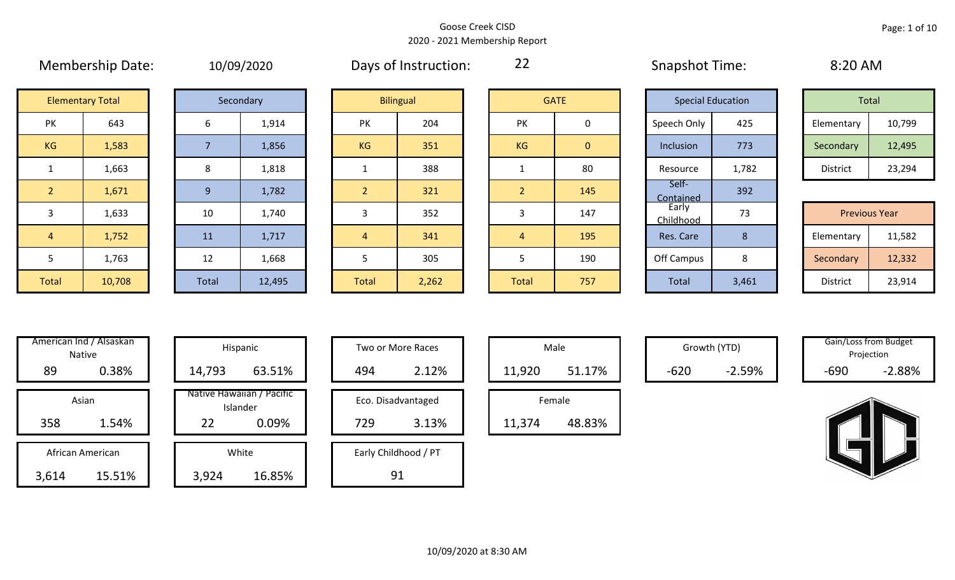|                | <b>IVIEITIVEISHIP DATE.</b> |                | TO/OS/ZOZO |                | Days OF HISLIQUION. | LL             |              | Sudpstict Time.          |                |
|----------------|-----------------------------|----------------|------------|----------------|---------------------|----------------|--------------|--------------------------|----------------|
|                | <b>Elementary Total</b>     |                | Secondary  |                | <b>Bilingual</b>    |                | <b>GATE</b>  | <b>Special Education</b> |                |
| PK             | 643                         | 6              | 1,914      | PK             | 204                 | PK             | 0            | Speech Only              | 42             |
| KG             | 1,583                       |                | 1,856      | <b>KG</b>      | 351                 | <b>KG</b>      | $\mathbf{0}$ | Inclusion                | 77             |
| $\mathbf{1}$   | 1,663                       | 8              | 1,818      | $\mathbf{1}$   | 388                 | $\mathbf{1}$   | 80           | Resource                 | 1,7            |
| 2 <sup>1</sup> | 1,671                       | $\overline{9}$ | 1,782      | $\overline{2}$ | 321                 | $\overline{2}$ | 145          | Self-<br>Contained       | 39             |
| 3              | 1,633                       | 10             | 1,740      | 3              | 352                 | 3              | 147          | Early<br>Childhood       | 7 <sup>3</sup> |
| $\overline{4}$ | 1,752                       | 11             | 1,717      | $\overline{4}$ | 341                 | $\overline{4}$ | 195          | Res. Care                | 8              |
| 5              | 1,763                       | 12             | 1,668      | 5              | 305                 | 5              | 190          | Off Campus               | 8              |
| Total          | 10,708                      | Total          | 12,495     | Total          | 2,262               | Total          | 757          | Total                    | 3,4            |

|  | 10/09/2020 |  |
|--|------------|--|
|  |            |  |
|  |            |  |

Membership Date: 10/09/2020 Snapshot Time: 8:20 AM Days of Instruction:

22

Contained 392

|                      | <b>Elementary Total</b> |  | Secondary |           | <b>Bilingual</b> |           | <b>GATE</b> | <b>Special Education</b> |       |            | Total  |
|----------------------|-------------------------|--|-----------|-----------|------------------|-----------|-------------|--------------------------|-------|------------|--------|
| ∕ו ר<br>$\mathbf{N}$ | 643                     |  | 1,914     | PK        | 204              | PK        |             | Speech Only              | 425   | Elementary | 10,799 |
| G                    | 1,583/                  |  | 1,856     | <b>KG</b> | 351              | <b>KG</b> | 0           | Inclusion                | 773   | Secondary  | 12,495 |
|                      | 1,663                   |  | 1,818     |           | 388              |           | 80          | Resource                 | 1,782 | District   | 23,294 |

|       |        |       |        |              |       |              |     | ____________       |       |                      |        |
|-------|--------|-------|--------|--------------|-------|--------------|-----|--------------------|-------|----------------------|--------|
| 3     | 1,633  | 10    | 1,740  |              | 352   |              | 147 | Early<br>Childhood | フつ    | <b>Previous Year</b> |        |
| 4     | 1,752  | 11    | 1,717  |              | 341   |              | 195 | Res. Care          |       | Elementary           | 11,582 |
|       | 1,763  | 12    | 1,668  |              | 305   |              | 190 | Off Campus         | Ο     | Secondary            | 12,332 |
| Total | 10,708 | Total | 12,495 | <b>Total</b> | 2,262 | <b>Total</b> | 757 | Total              | 3,461 | District             | 23,914 |

|       | American Ind / Alsaskan<br><b>Native</b> | Hispani                    |
|-------|------------------------------------------|----------------------------|
| 89    | 0.38%                                    | 14,793                     |
|       | Asian                                    | Native Hawaiiai<br>Islande |
| 358   | 1.54%                                    | 22                         |
|       | African American                         | White                      |
| 3.614 | 15.51%                                   | 3.924                      |

| American Ind / Alsaskan<br>Native | Hispanic                              | Two or More Races    | Male             | Growth (YTD)       | Gain/Loss from Budget<br>Projection |
|-----------------------------------|---------------------------------------|----------------------|------------------|--------------------|-------------------------------------|
| 89<br>0.38%                       | 63.51%<br>14,793                      | 2.12%<br>494         | 51.17%<br>11,920 | $-2.59%$<br>$-620$ | $-2.88%$<br>$-690$                  |
| Asian                             | Native Hawaiian / Pacific<br>Islander | Eco. Disadvantaged   | Female           |                    |                                     |
| 358<br>1.54%                      | 22<br>0.09%                           | 729<br>3.13%         | 48.83%<br>11,374 |                    |                                     |
| African American                  | White                                 | Early Childhood / PT |                  |                    |                                     |
| 15.51%<br>3,614                   | 16.85%<br>3,924                       | 91                   |                  |                    |                                     |

| Hispanic                       |     | Two or More Races    |        | Male   |
|--------------------------------|-----|----------------------|--------|--------|
| 63.51%                         | 494 | 2.12%                | 11,920 |        |
| lawaiian / Pacific<br>Islander |     | Eco. Disadvantaged   |        | Female |
| 0.09%                          | 729 | 3.13%                | 11,374 |        |
| White                          |     | Early Childhood / PT |        |        |
| 16.85%                         |     |                      |        |        |

|                  | Male   |  |  |  |  |  |  |  |  |  |  |
|------------------|--------|--|--|--|--|--|--|--|--|--|--|
| 51.17%<br>11,920 |        |  |  |  |  |  |  |  |  |  |  |
|                  | Female |  |  |  |  |  |  |  |  |  |  |
| 11,374           | 48.83% |  |  |  |  |  |  |  |  |  |  |

Growth (YTD) Gain/Loss from Budget Projection

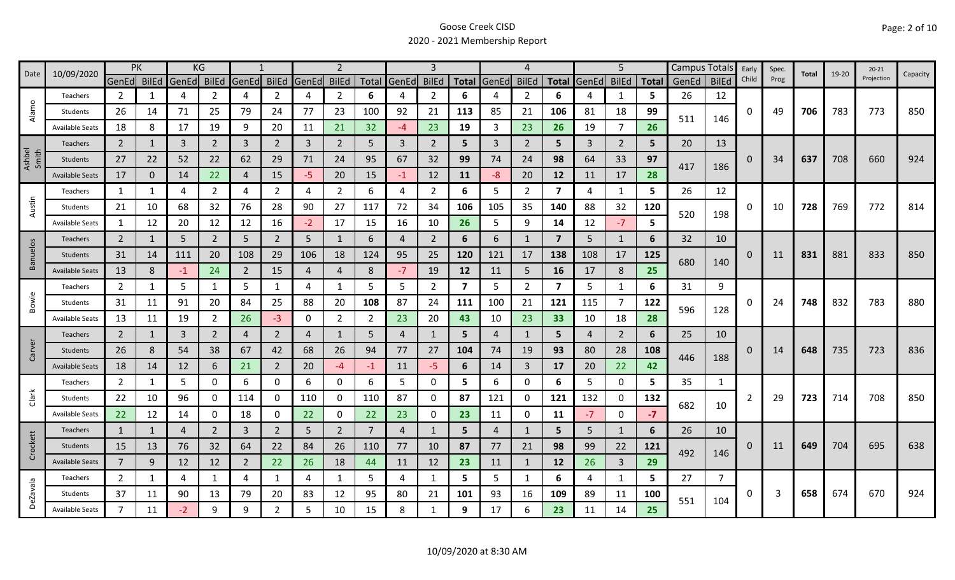| 10/09/2020<br>Date | <b>PK</b>              |                |              | KG          |                |                |                | 2     |                |                | 3                 |                |                         | 4            |                |                         | 5              |                |              | Campus Totals | Early        | Spec.    | Total | $19 - 20$ | $20 - 21$ | Capacity   |     |
|--------------------|------------------------|----------------|--------------|-------------|----------------|----------------|----------------|-------|----------------|----------------|-------------------|----------------|-------------------------|--------------|----------------|-------------------------|----------------|----------------|--------------|---------------|--------------|----------|-------|-----------|-----------|------------|-----|
|                    |                        | GenEd BilEd    |              | GenEd BilEd |                | GenEd          | <b>BilEd</b>   | GenEd | <b>BilEd</b>   |                | Total GenEd BilEd |                |                         | Total GenEd  | <b>BilEd</b>   | Total                   | GenEd BilEd    |                | <b>Total</b> | GenEd         | <b>BilEd</b> | Child    | Prog  |           |           | Projection |     |
|                    | Teachers               | 2              | 1            | 4           | 2              | 4              | $\overline{2}$ | 4     | $\overline{2}$ | 6              | 4                 | 2              | 6                       |              | 2              | 6                       |                | 1              | 5.           | 26            | 12           |          |       |           |           |            |     |
| Alamo              | Students               | 26             | 14           | 71          | 25             | 79             | 24             | 77    | 23             | 100            | 92                | 21             | 113                     | 85           | 21             | 106                     | 81             | 18             | 99           | 511           | 146          | 0        | 49    | 706       | 783       | 773        | 850 |
|                    | <b>Available Seats</b> | 18             | 8            | 17          | 19             | 9              | 20             | 11    | 21             | 32             | -4                | 23             | 19                      | 3            | 23             | 26                      | 19             | $\overline{7}$ | 26           |               |              |          |       |           |           |            |     |
|                    | Teachers               | $\overline{2}$ | 1            | 3           | $\overline{2}$ | $\overline{3}$ | $\overline{2}$ | 3     | $\overline{2}$ | 5              | 3                 | $\overline{2}$ | 5                       | $\mathbf{3}$ | 2              | 5                       | 3              | $\overline{2}$ | 5            | 20            | 13           |          |       |           |           |            |     |
| Ashbel<br>Smith    | Students               | 27             | 22           | 52          | 22             | 62             | 29             | 71    | 24             | 95             | 67                | 32             | 99                      | 74           | 24             | 98                      | 64             | 33             | 97           | 417           |              | 0        | 34    | 637       | 708       | 660        | 924 |
|                    | <b>Available Seats</b> | 17             | 0            | 14          | 22             | $\overline{4}$ | 15             | -5    | 20             | 15             | $-1$              | 12             | 11                      | -8           | 20             | 12                      | 11             | 17             | 28           |               | 186          |          |       |           |           |            |     |
|                    | Teachers               | 1              |              | 4           | 2              | 4              | 2              | 4     | 2              | 6              | 4                 | $\overline{2}$ | 6                       | 5            | 2              | 7                       | 4              | 1              | 5            | 26            | 12           |          |       |           |           |            |     |
| Austin             | Students               | 21             | 10           | 68          | 32             | 76             | 28             | 90    | 27             | 117            | 72                | 34             | 106                     | 105          | 35             | 140                     | 88             | 32             | 120          | 520           |              | 0        | 10    | 728       | 769       | 772        | 814 |
|                    | <b>Available Seats</b> | 1              | 12           | 20          | 12             | 12             | 16             | $-2$  | 17             | 15             | 16                | 10             | 26                      | 5            | 9              | 14                      | 12             | $-7$           | 5.           |               | 198          |          |       |           |           |            |     |
|                    | Teachers               | $\overline{2}$ | 1            | 5           | $\overline{2}$ | 5              | $\overline{2}$ | 5     | 1              | 6              | 4                 | $\overline{2}$ | 6                       | 6            | 1              | $\overline{7}$          | 5              | 1              | 6            | 32            | 10           |          |       |           |           |            |     |
| <b>Banuelos</b>    | <b>Students</b>        | 31             | 14           | 111         | 20             | 108            | 29             | 106   | 18             | 124            | 95                | 25             | 120                     | 121          | 17             | 138                     | 108            | 17             | 125          |               |              | 0        | 11    | 831       | 881       | 833        | 850 |
|                    | <b>Available Seats</b> | 13             | 8            | $-1$        | 24             | $\overline{2}$ | 15             | 4     | $\overline{4}$ | 8              | $-7$              | 19             | 12                      | 11           | 5              | 16                      | 17             | 8              | 25           | 680           | 140          |          |       |           |           |            |     |
|                    | Teachers               | $\overline{2}$ | $\mathbf{1}$ | 5           | 1              | 5              | 1              | 4     | 1              | 5              | 5                 | $\overline{2}$ | $\overline{\mathbf{z}}$ | 5            | 2              | $\overline{\mathbf{z}}$ | 5              | $\mathbf{1}$   | 6            | 31            | 9            |          |       |           |           |            |     |
| Bowie              | Students               | 31             | 11           | 91          | 20             | 84             | 25             | 88    | 20             | 108            | 87                | 24             | 111                     | 100          | 21             | 121                     | 115            | 7              | 122          |               |              | O        | 24    | 748       | 832       | 783        | 880 |
|                    | <b>Available Seats</b> | 13             | 11           | 19          | $\overline{2}$ | 26             | $-3$           | 0     | $\overline{2}$ | $\overline{2}$ | 23                | 20             | 43                      | 10           | 23             | 33                      | 10             | 18             | 28           | 596           | 128          |          |       |           |           |            |     |
|                    | <b>Teachers</b>        | $\overline{2}$ | $\mathbf{1}$ | 3           | $\overline{2}$ | $\overline{a}$ | $\overline{2}$ | 4     | 1              | 5              | 4                 |                | 5                       | Δ            | $\mathbf{1}$   | 5                       | $\overline{a}$ | $\overline{2}$ | 6            | 25            | 10           |          |       |           |           |            |     |
| Carver             | <b>Students</b>        | 26             | 8            | 54          | 38             | 67             | 42             | 68    | 26             | 94             | 77                | 27             | 104                     | 74           | 19             | 93                      | 80             | 28             | 108          |               |              | 0        | 14    | 648       | 735       | 723        | 836 |
|                    | <b>Available Seats</b> | 18             | 14           | 12          | 6              | 21             | $\overline{2}$ | 20    | $-4$           | $-1$           | 11                | $-5$           | 6                       | 14           | $\overline{3}$ | 17                      | 20             | 22             | 42           | 446           | 188          |          |       |           |           |            |     |
|                    | Teachers               | $\overline{2}$ | 1            | 5           | 0              | 6              | $\mathbf{0}$   | 6     | 0              | 6              | 5                 | 0              | 5                       | 6            | 0              | 6                       | 5              | 0              | 5.           | 35            | $\mathbf{1}$ |          |       |           |           |            |     |
| Clark              | Students               | 22             | 10           | 96          | 0              | 114            | $\mathbf{0}$   | 110   | 0              | 110            | 87                | 0              | 87                      | 121          | 0              | 121                     | 132            | 0              | 132          |               |              | 2        | 29    | 723       | 714       | 708        | 850 |
|                    | <b>Available Seats</b> | 22             | 12           | 14          | 0              | 18             | 0              | 22    | 0              | 22             | 23                | 0              | 23                      | 11           | 0              | 11                      | $-7$           | $\mathbf 0$    | $-7$         | 682           | 10           |          |       |           |           |            |     |
|                    | Teachers               | 1              | 1            | 4           | $\overline{2}$ | $\overline{3}$ | $\overline{2}$ | 5     | $\overline{2}$ | $\overline{7}$ | 4                 |                | 5                       | 4            | 1              | 5                       | 5              | 1              | 6            | 26            | 10           |          |       |           |           |            |     |
| Crockett           | <b>Students</b>        | 15             | 13           | 76          | 32             | 64             | 22             | 84    | 26             | 110            | 77                | 10             | 87                      | 77           | 21             | 98                      | 99             | 22             | 121          |               |              | $\Omega$ | 11    | 649       | 704       | 695        | 638 |
|                    | <b>Available Seats</b> | $\overline{7}$ | 9            | 12          | 12             | $\overline{2}$ | 22             | 26    | 18             | 44             | 11                | 12             | 23                      | 11           | $\mathbf{1}$   | 12                      | 26             | $\overline{3}$ | 29           | 492<br>146    |              |          |       |           |           |            |     |
|                    | <b>Teachers</b>        | $\overline{2}$ | 1            | 4           | 1              | 4              | $\mathbf{1}$   | 4     | 1              | 5              | 4                 | $\mathbf{1}$   | 5                       | 5            | $\mathbf{1}$   | 6                       | 4              | $\mathbf{1}$   | 5.           | 27            |              |          |       |           |           |            |     |
| <b>DeZavala</b>    | Students               | 37             | 11           | 90          | 13             | 79             | 20             | 83    | 12             | 95             | 80                | 21             | 101                     | 93           | 16             | 109                     | 89             | 11             | 100          |               |              | 0        | 3     | 658       | 674       | 670        | 924 |
|                    | <b>Available Seats</b> | $\overline{7}$ | 11           | $-2$        | 9              | 9              | $\overline{2}$ | 5     | 10             | 15             | 8                 |                | 9                       | 17           | 6              | 23                      | 11             | 14             | 25           | 551           | 104          |          |       |           |           |            |     |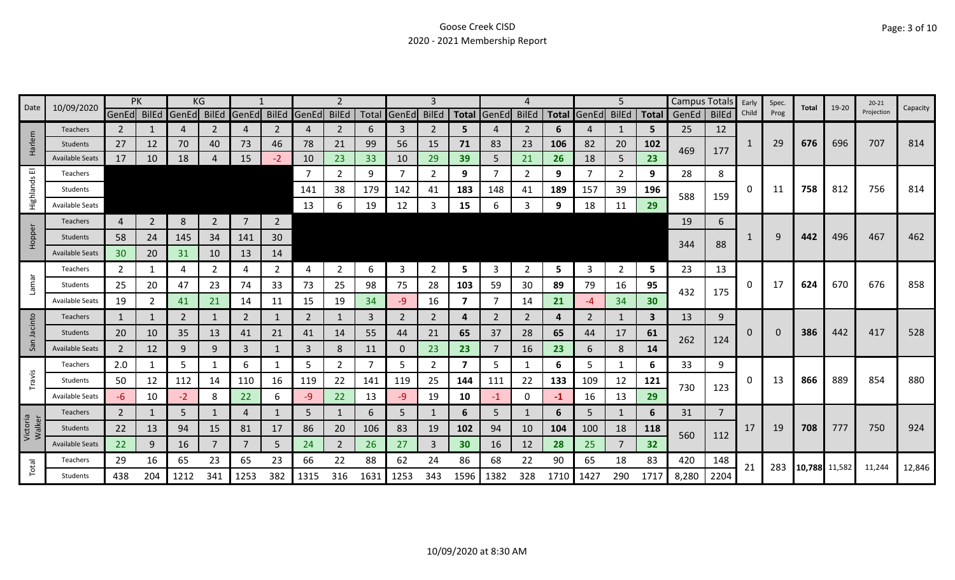| 10/09/2020<br>Date | PK                     |                 |                | ΚG    |                |                |                |                |                |      | 3              |                |                         |                |                |      | 5                 |                | Campus Totals |             | Early          | Spec. | Total | 19-20         | $20 - 21$ | Capacity   |        |
|--------------------|------------------------|-----------------|----------------|-------|----------------|----------------|----------------|----------------|----------------|------|----------------|----------------|-------------------------|----------------|----------------|------|-------------------|----------------|---------------|-------------|----------------|-------|-------|---------------|-----------|------------|--------|
|                    |                        | GenEd BilEd     |                | GenEd | BilEd          | GenEd          | <b>BilEd</b>   | GenEd          | <b>BilEd</b>   |      | Total GenEd    | <b>BilEd</b>   |                         | Total GenEd    | <b>BilEd</b>   |      | Total GenEd BilEd |                |               | Total GenEd | <b>BilEd</b>   | Child | Prog  |               |           | Projection |        |
|                    | Teachers               | $\overline{2}$  |                | 4     | 2              | 4              | 2              | 4              | $\overline{2}$ | 6    | 3              | 2              | 5                       |                | 2              | 6    | 4                 | 1              | 5             | 25          | 12             |       |       |               |           |            |        |
| Harlem             | Students               | 27              | 12             | 70    | 40             | 73             | 46             | 78             | 21             | 99   | 56             | 15             | 71                      | 83             | 23             | 106  | 82                | 20             | 102           | 469         | 177            | 1     | 29    | 676           | 696       | 707        | 814    |
|                    | <b>Available Seats</b> | 17              | 10             | 18    |                | 15             | $-2$           | 10             | 23             | 33   | 10             | 29             | 39                      | 5              | 21             | 26   | 18                | 5              | 23            |             |                |       |       |               |           |            |        |
| 画                  | Teachers               |                 |                |       |                |                |                |                | $\overline{2}$ | 9    | $\overline{7}$ | 2              | 9                       |                | 2              | 9    | 7                 | $\overline{2}$ | 9             | 28          | 8              |       |       |               |           |            |        |
| Highlands          | Students               |                 |                |       |                |                |                | 141            | 38             | 179  | 142            | 41             | 183                     | 148            | 41             | 189  | 157               | 39             | 196           | 588         | 159            | 0     | 11    | 758           | 812       | 756        | 814    |
|                    | <b>Available Seats</b> |                 |                |       |                |                |                | -13            | 6              | 19   | 12             | 3              | 15                      | 6              | 3              | 9    | 18                | 11             | 29            |             |                |       |       |               |           |            |        |
|                    | Teachers               | 4               | $\overline{2}$ | 8     | $\overline{2}$ | $\overline{7}$ | $\overline{2}$ |                |                |      |                |                |                         |                |                |      |                   |                |               | 19          | 6              |       |       |               |           |            |        |
| Hopper             | Students               | 58              | 24             | 145   | 34             | 141            | 30             |                |                |      |                |                |                         |                |                |      |                   |                |               |             |                |       | 9     | 442           | 496       | 467        | 462    |
|                    | <b>Available Seats</b> | 30 <sup>°</sup> | 20             | 31    | 10             | 13             | 14             |                |                |      |                |                |                         |                |                |      |                   |                |               | 344         | 88             |       |       |               |           |            |        |
|                    | Teachers               | $\mathbf{2}$    | 1              | 4     | 2              | 4              | $\mathbf{2}$   | 4              | 2              | 6    | 3              | $\overline{2}$ | 5                       | 3              | 2              | 5    | 3                 | $\overline{2}$ | 5             | 23          | 13             |       |       |               |           |            |        |
| Lamar              | Students               | 25              | 20             | 47    | 23             | 74             | 33             | 73             | 25             | 98   | 75             | 28             | 103                     | 59             | 30             | 89   | 79                | 16             | 95            |             |                | 0     | 17    | 624           | 670       | 676        | 858    |
|                    | <b>Available Seats</b> | 19              | $\overline{2}$ | 41    | 21             | 14             | 11             | 15             | 19             | 34   | -9             | 16             | 7                       |                | 14             | 21   | -4                | 34             | 30            | 432         | 175            |       |       |               |           |            |        |
|                    | <b>Teachers</b>        | $\mathbf{1}$    | 1              | 2     |                | $\overline{2}$ | 1              | $\overline{2}$ | $\mathbf{1}$   | 3    | $\overline{2}$ | $\overline{2}$ | 4                       | $\overline{2}$ | $\overline{2}$ | 4    | $\overline{2}$    | $\mathbf{1}$   | 3             | 13          | 9              |       |       |               |           |            |        |
| Jacinto            | <b>Students</b>        | 20              | 10             | 35    | 13             | 41             | 21             | 41             | 14             | 55   | 44             | 21             | 65                      | 37             | 28             | 65   | 44                | 17             | 61            |             |                | 0     | 0     | 386           | 442       | 417        | 528    |
| San                | <b>Available Seats</b> | $\overline{2}$  | 12             | 9     | 9              | $\overline{3}$ |                | $\overline{3}$ | $\bf 8$        | 11   | $\mathbf 0$    | 23             | 23                      |                | 16             | 23   | 6                 | 8              | 14            | 262         | 124            |       |       |               |           |            |        |
|                    | Teachers               | 2.0             |                | 5     |                | 6              | $\mathbf 1$    | 5              | $\overline{2}$ |      | 5              | 2              | $\overline{\mathbf{z}}$ | 5              |                | 6    | 5                 | 1              | 6             | 33          | 9              |       |       |               |           |            |        |
| Travis             | Students               | 50              | 12             | 112   | 14             | 110            | 16             | 119            | 22             | 141  | 119            | 25             | 144                     | 111            | 22             | 133  | 109               | 12             | 121           |             |                | 0     | 13    | 866           | 889       | 854        | 880    |
|                    | <b>Available Seats</b> | -6              | 10             | $-2$  | 8              | 22             | 6              | -9             | 22             | 13   | $-9$           | 19             | 10                      | -1             | $\mathbf 0$    | -1   | 16                | 13             | 29            | 730         | 123            |       |       |               |           |            |        |
|                    | <b>Teachers</b>        | $\overline{2}$  |                | 5     |                | 4              |                | 5              | $\mathbf{1}$   | 6    | 5 <sup>1</sup> |                | 6                       | 5              |                | 6    | 5                 |                | 6             | 31          | $\overline{7}$ |       |       |               |           |            |        |
| Victoria<br>Walker | Students               | 22              | 13             | 94    | 15             | 81             | 17             | 86             | 20             | 106  | 83             | 19             | 102                     | 94             | 10             | 104  | 100               | 18             | 118           | 560         | 112            | 17    | 19    | 708           | 777       | 750        | 924    |
|                    | <b>Available Seats</b> | 22              | 9              | 16    |                |                | 5              | 24             | $\overline{2}$ | 26   | 27             | 3              | 30                      | 16             | 12             | 28   | 25                |                | 32            |             |                |       |       |               |           |            |        |
|                    | Teachers               | 29              | 16             | 65    | 23             | 65             | 23             | 66             | 22             | 88   | 62             | 24             | 86                      | 68             | 22             | 90   | 65                | 18             | 83            | 420         | 148            | 21    | 283   |               |           |            |        |
| Total              | Students               | 438             | 204            | 1212  | 341            | 1253           | 382            | 1315           | 316            | 1631 | 1253           | 343            | 1596                    | 1382           | 328            | 1710 | 1427              | 290            | 1717          | 8,280       | 2204           |       |       | 10,788 11,582 |           | 11,244     | 12,846 |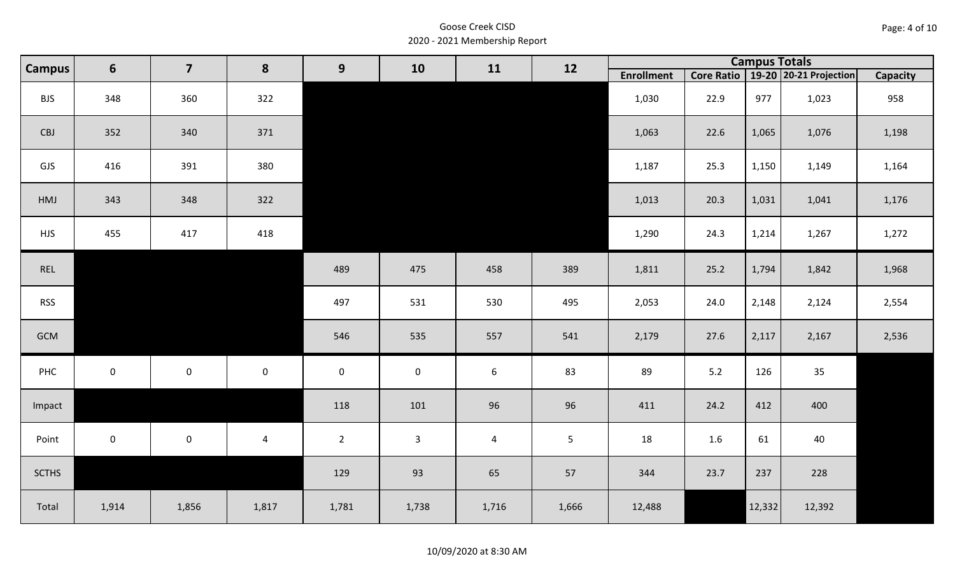| <b>BJS</b>   | 348         | 360         | 322            |                     |              |                |                | 1,030  | 22.9 | 977    | 1,023  | 958   |
|--------------|-------------|-------------|----------------|---------------------|--------------|----------------|----------------|--------|------|--------|--------|-------|
| CBJ          | 352         | 340         | 371            |                     |              |                |                | 1,063  | 22.6 | 1,065  | 1,076  | 1,198 |
| GJS          | 416         | 391         | 380            |                     |              |                |                | 1,187  | 25.3 | 1,150  | 1,149  | 1,164 |
| HMJ          | 343         | 348         | 322            |                     |              |                |                | 1,013  | 20.3 | 1,031  | 1,041  | 1,176 |
| <b>HJS</b>   | 455         | 417         | 418            |                     |              |                |                | 1,290  | 24.3 | 1,214  | 1,267  | 1,272 |
| REL          |             |             |                | 489                 | 475          | 458            | 389            | 1,811  | 25.2 | 1,794  | 1,842  | 1,968 |
| <b>RSS</b>   |             |             |                | 497                 | 531          | 530            | 495            | 2,053  | 24.0 | 2,148  | 2,124  | 2,554 |
| GCM          |             |             |                | 546                 | 535          | 557            | 541            | 2,179  | 27.6 | 2,117  | 2,167  | 2,536 |
| PHC          | $\mathsf 0$ | $\mathbf 0$ | $\mathbf 0$    | $\mathsf{O}\xspace$ | $\mathbf 0$  | $6\phantom{.}$ | 83             | 89     | 5.2  | 126    | 35     |       |
| Impact       |             |             |                | 118                 | 101          | 96             | 96             | 411    | 24.2 | 412    | 400    |       |
| Point        | $\mathbf 0$ | $\mathbf 0$ | $\overline{4}$ | $\overline{2}$      | $\mathbf{3}$ | $\overline{4}$ | 5 <sub>1</sub> | 18     | 1.6  | 61     | 40     |       |
| <b>SCTHS</b> |             |             |                | 129                 | 93           | 65             | 57             | 344    | 23.7 | 237    | 228    |       |
| Total        | 1,914       | 1,856       | 1,817          | 1,781               | 1,738        | 1,716          | 1,666          | 12,488 |      | 12,332 | 12,392 |       |

10/09/2020 at 8:30 AM

**Enrollment Core Ratio 19-20 20-21 Projection Capacity Campus <sup>11</sup> <sup>12</sup> Campus Totals <sup>6</sup> <sup>7</sup> <sup>8</sup> <sup>9</sup> <sup>10</sup>**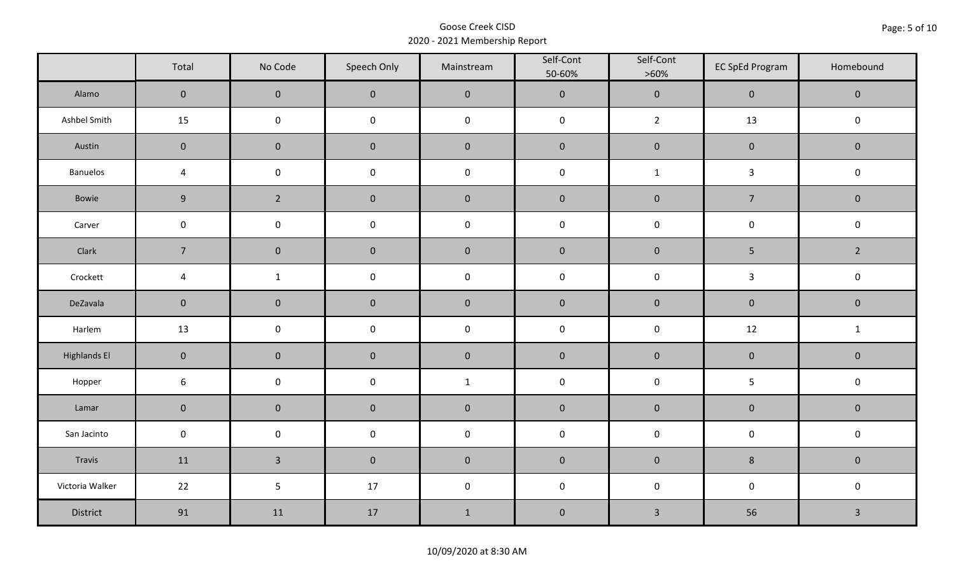|                     | Total          | No Code             | Speech Only         | Mainstream   | Self-Cont<br>50-60% | Self-Cont<br>$>60\%$ | <b>EC SpEd Program</b> | Homebound      |
|---------------------|----------------|---------------------|---------------------|--------------|---------------------|----------------------|------------------------|----------------|
| Alamo               | $\overline{0}$ | $\mathbf 0$         | $\mathbf 0$         | $\pmb{0}$    | $\pmb{0}$           | $\mathbf 0$          | $\mathbf 0$            | $\mathbf 0$    |
| Ashbel Smith        | 15             | $\mathbf 0$         | $\mathbf 0$         | $\pmb{0}$    | $\mathsf 0$         | $\overline{2}$       | 13                     | $\mathsf 0$    |
| Austin              | $\mathbf 0$    | $\mathbf 0$         | $\mathbf 0$         | $\pmb{0}$    | $\pmb{0}$           | $\pmb{0}$            | $\pmb{0}$              | $\mathbf 0$    |
| <b>Banuelos</b>     | 4              | $\mathsf{O}\xspace$ | $\mathbf 0$         | $\pmb{0}$    | $\pmb{0}$           | $\mathbf{1}$         | $\mathbf{3}$           | $\mathbf 0$    |
| Bowie               | 9              | $\overline{2}$      | $\mathbf 0$         | $\pmb{0}$    | $\pmb{0}$           | $\pmb{0}$            | $\overline{7}$         | $\mathbf 0$    |
| Carver              | $\mathbf 0$    | $\mathbf 0$         | $\pmb{0}$           | $\pmb{0}$    | $\pmb{0}$           | $\pmb{0}$            | $\pmb{0}$              | $\mathbf 0$    |
| Clark               | $\overline{7}$ | $\mathbf 0$         | $\mathbf 0$         | $\pmb{0}$    | $\pmb{0}$           | $\pmb{0}$            | 5                      | $\overline{2}$ |
| Crockett            | $\overline{4}$ | $\mathbf{1}$        | $\mathsf{O}\xspace$ | $\pmb{0}$    | $\pmb{0}$           | $\pmb{0}$            | $\mathbf{3}$           | $\mathbf 0$    |
| DeZavala            | $\mathbf 0$    | $\mathbf 0$         | $\mathbf 0$         | $\pmb{0}$    | $\pmb{0}$           | $\pmb{0}$            | $\mathbf 0$            | $\mathbf 0$    |
| Harlem              | 13             | $\mathbf 0$         | $\mathsf 0$         | $\pmb{0}$    | $\pmb{0}$           | $\pmb{0}$            | 12                     | $\mathbf{1}$   |
| <b>Highlands El</b> | $\mathbf 0$    | $\overline{0}$      | $\overline{0}$      | $\pmb{0}$    | $\pmb{0}$           | $\pmb{0}$            | $\pmb{0}$              | $\mathbf 0$    |
| Hopper              | $\sqrt{6}$     | $\mathbf 0$         | $\mathsf{O}\xspace$ | $\mathbf{1}$ | $\pmb{0}$           | $\pmb{0}$            | 5                      | $\mathbf 0$    |
| Lamar               | $\mathbf 0$    | $\mathbf 0$         | $\mathbf 0$         | $\pmb{0}$    | $\pmb{0}$           | $\pmb{0}$            | $\pmb{0}$              | $\mathbf 0$    |
| San Jacinto         | $\mathbf 0$    | $\mathbf 0$         | $\mathsf{O}\xspace$ | $\pmb{0}$    | $\pmb{0}$           | $\pmb{0}$            | $\mathsf{O}\xspace$    | $\mathbf 0$    |
| Travis              | 11             | $\overline{3}$      | $\overline{0}$      | $\pmb{0}$    | $\pmb{0}$           | $\pmb{0}$            | $\bf 8$                | $\mathbf 0$    |
| Victoria Walker     | 22             | 5                   | 17                  | $\pmb{0}$    | $\pmb{0}$           | $\pmb{0}$            | $\mathsf{O}\xspace$    | $\mathbf 0$    |
| District            | 91             | 11                  | 17                  | $\mathbf{1}$ | $\pmb{0}$           | $\mathbf{3}$         | 56                     | $\mathbf{3}$   |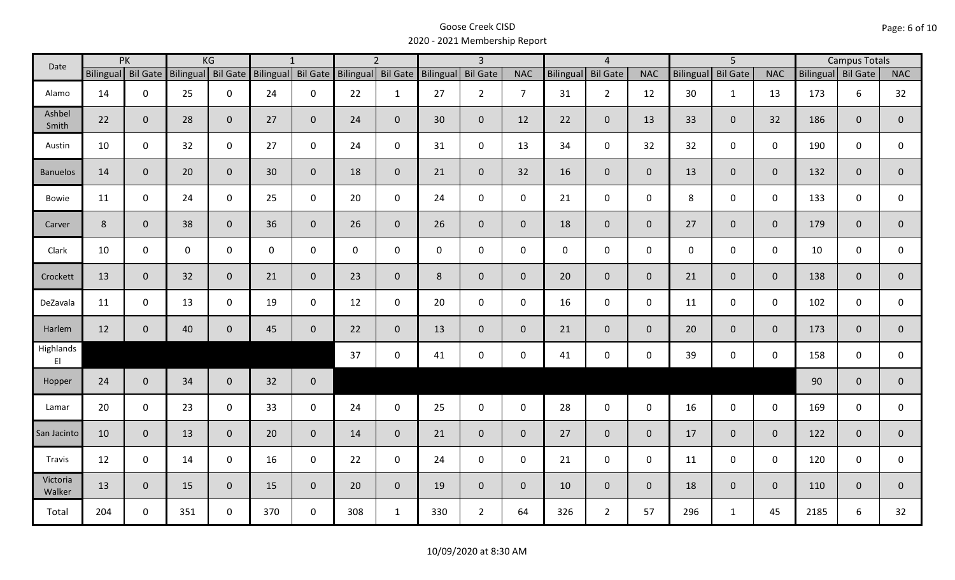| Date               |                    | PK           |                    | KG             |                    | $\mathbf{1}$ |                    | $\overline{2}$ |              | $\overline{3}$ |                |             | $\overline{4}$     |                |             | $\overline{5}$  |                |      | <b>Campus Totals</b> |                |  |
|--------------------|--------------------|--------------|--------------------|----------------|--------------------|--------------|--------------------|----------------|--------------|----------------|----------------|-------------|--------------------|----------------|-------------|-----------------|----------------|------|----------------------|----------------|--|
|                    | Bilingual Bil Gate |              | Bilingual Bil Gate |                | Bilingual Bil Gate |              | Bilingual Bil Gate |                | Bilingual    | Bil Gate       | <b>NAC</b>     |             | Bilingual Bil Gate | <b>NAC</b>     | Bilingual   | <b>Bil Gate</b> | <b>NAC</b>     |      | Bilingual Bil Gate   | <b>NAC</b>     |  |
| Alamo              | 14                 | $\mathbf 0$  | 25                 | $\mathbf 0$    | 24                 | $\mathbf 0$  | 22                 | $\mathbf{1}$   | 27           | $2^{\circ}$    | $\overline{7}$ | 31          | $\overline{2}$     | 12             | 30          | $\mathbf{1}$    | 13             | 173  | 6                    | 32             |  |
| Ashbel<br>Smith    | 22                 | $\mathbf 0$  | 28                 | $\mathbf{0}$   | 27                 | $\mathbf{0}$ | 24                 | $\overline{0}$ | 30           | $\mathbf{0}$   | 12             | 22          | $\overline{0}$     | 13             | 33          | $\mathbf{0}$    | 32             | 186  | $\mathbf{0}$         | $\overline{0}$ |  |
| Austin             | 10                 | $\mathbf 0$  | 32                 | $\mathbf 0$    | 27                 | 0            | 24                 | $\mathbf 0$    | 31           | $\mathbf 0$    | 13             | 34          | $\mathbf 0$        | 32             | 32          | $\mathbf 0$     | $\mathbf 0$    | 190  | $\mathbf 0$          | 0              |  |
| <b>Banuelos</b>    | 14                 | $\mathbf{0}$ | 20                 | $\mathbf 0$    | 30                 | $\mathbf{0}$ | 18                 | $\mathbf 0$    | 21           | $\overline{0}$ | 32             | 16          | $\overline{0}$     | $\overline{0}$ | 13          | $\overline{0}$  | $\overline{0}$ | 132  | $\mathbf{0}$         | $\mathbf{0}$   |  |
| <b>Bowie</b>       | 11                 | $\mathbf 0$  | 24                 | $\mathbf 0$    | 25                 | $\mathbf 0$  | 20                 | $\mathbf 0$    | 24           | $\mathbf 0$    | $\mathsf{O}$   | 21          | $\mathbf 0$        | $\mathsf{O}$   | 8           | $\mathbf 0$     | $\mathbf 0$    | 133  | $\mathbf 0$          | $\mathbf 0$    |  |
| Carver             | 8                  | $\mathbf 0$  | 38                 | $\mathbf 0$    | 36                 | $\mathbf 0$  | 26                 | $\overline{0}$ | 26           | $\overline{0}$ | $\mathbf{0}$   | 18          | $\overline{0}$     | $\overline{0}$ | 27          | $\mathbf{0}$    | $\overline{0}$ | 179  | $\mathbf 0$          | $\overline{0}$ |  |
| Clark              | 10                 | $\mathbf 0$  | $\mathbf 0$        | $\mathbf 0$    | $\mathsf{O}$       | $\mathbf 0$  | $\mathbf 0$        | $\mathbf 0$    | $\mathsf{O}$ | $\mathbf 0$    | $\mathbf 0$    | $\mathbf 0$ | $\mathbf 0$        | $\mathsf{O}$   | $\mathbf 0$ | $\mathbf{0}$    | $\mathbf 0$    | 10   | $\mathbf 0$          | $\mathbf 0$    |  |
| Crockett           | 13                 | $\mathbf 0$  | 32                 | $\mathbf{0}$   | 21                 | $\mathbf{0}$ | 23                 | $\mathbf 0$    | 8            | $\mathbf{0}$   | $\mathbf{0}$   | 20          | $\mathbf{0}$       | $\overline{0}$ | 21          | $\overline{0}$  | $\overline{0}$ | 138  | $\mathbf 0$          | $\mathbf 0$    |  |
| DeZavala           | 11                 | $\mathbf 0$  | 13                 | $\mathbf 0$    | 19                 | $\mathbf 0$  | 12                 | $\mathbf 0$    | 20           | $\mathbf 0$    | $\mathbf 0$    | 16          | $\mathbf 0$        | $\mathbf 0$    | 11          | $\mathbf 0$     | $\mathbf 0$    | 102  | $\mathbf 0$          | $\mathbf 0$    |  |
| Harlem             | 12                 | $\mathbf 0$  | 40                 | $\mathbf 0$    | 45                 | $\mathbf 0$  | 22                 | $\overline{0}$ | 13           | $\mathbf{0}$   | $\mathbf{0}$   | 21          | $\overline{0}$     | $\overline{0}$ | 20          | $\overline{0}$  | $\overline{0}$ | 173  | $\mathbf 0$          | $\overline{0}$ |  |
| Highlands<br>E     |                    |              |                    |                |                    |              | 37                 | $\mathbf 0$    | 41           | 0              | 0              | 41          | $\mathbf 0$        | $\mathsf{O}$   | 39          | $\mathbf 0$     | $\mathbf 0$    | 158  | $\mathbf 0$          | $\mathbf 0$    |  |
| Hopper             | 24                 | $\mathbf 0$  | 34                 | $\mathbf 0$    | 32                 | $\mathbf 0$  |                    |                |              |                |                |             |                    |                |             |                 |                | 90   | $\overline{0}$       | $\mathbf{0}$   |  |
| Lamar              | 20                 | $\mathbf 0$  | 23                 | $\mathbf 0$    | 33                 | $\mathbf 0$  | 24                 | $\mathbf 0$    | 25           | $\mathbf 0$    | $\mathbf 0$    | 28          | $\mathbf 0$        | $\mathbf 0$    | 16          | $\mathbf 0$     | $\mathbf 0$    | 169  | $\mathbf 0$          | $\mathbf 0$    |  |
| San Jacinto        | 10                 | $\mathbf 0$  | 13                 | $\mathbf 0$    | 20                 | $\mathbf{0}$ | 14                 | $\overline{0}$ | 21           | $\overline{0}$ | $\overline{0}$ | 27          | $\overline{0}$     | $\overline{0}$ | 17          | $\overline{0}$  | $\overline{0}$ | 122  | $\mathbf 0$          | $\mathbf 0$    |  |
| Travis             | 12                 | $\mathbf 0$  | 14                 | $\mathbf 0$    | 16                 | $\mathbf 0$  | 22                 | $\mathbf 0$    | 24           | $\mathsf{O}$   | $\mathsf{O}$   | 21          | $\mathbf 0$        | $\mathbf 0$    | 11          | $\mathbf 0$     | $\mathbf 0$    | 120  | $\mathbf 0$          | 0              |  |
| Victoria<br>Walker | 13                 | $\mathbf 0$  | 15                 | $\overline{0}$ | 15                 | $\mathbf{0}$ | 20                 | $\overline{0}$ | 19           | $\overline{0}$ | $\mathbf 0$    | 10          | $\mathbf 0$        | $\overline{0}$ | 18          | $\mathbf{0}$    | $\overline{0}$ | 110  | $\mathbf 0$          | $\mathbf 0$    |  |
| Total              | 204                | $\mathbf 0$  | 351                | $\mathbf 0$    | 370                | $\mathbf 0$  | 308                | $\mathbf{1}$   | 330          | $2^{\circ}$    | 64             | 326         | $\overline{2}$     | 57             | 296         | $\mathbf{1}$    | 45             | 2185 | 6                    | 32             |  |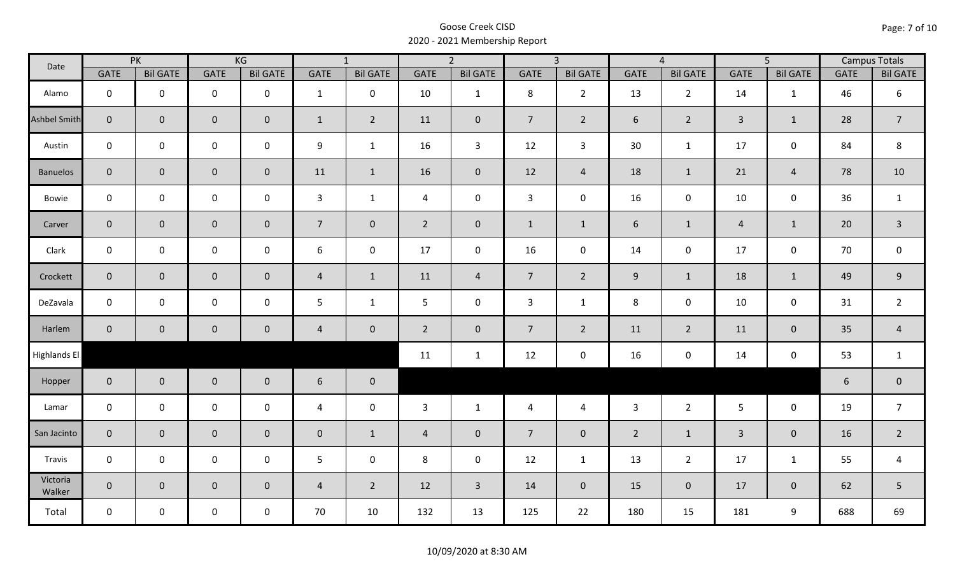| Date                | PK             |                 | KG                  |                 | $\overline{1}$   |                 | $\overline{2}$ |                 | $\overline{3}$ |                 | $\overline{4}$   |                 | $\overline{5}$ |                     | <b>Campus Totals</b> |                  |
|---------------------|----------------|-----------------|---------------------|-----------------|------------------|-----------------|----------------|-----------------|----------------|-----------------|------------------|-----------------|----------------|---------------------|----------------------|------------------|
|                     | <b>GATE</b>    | <b>Bil GATE</b> | <b>GATE</b>         | <b>Bil GATE</b> | <b>GATE</b>      | <b>Bil GATE</b> | <b>GATE</b>    | <b>Bil GATE</b> | <b>GATE</b>    | <b>Bil GATE</b> | <b>GATE</b>      | <b>Bil GATE</b> | <b>GATE</b>    | <b>Bil GATE</b>     | <b>GATE</b>          | <b>Bil GATE</b>  |
| Alamo               | $\mathbf{0}$   | $\mathbf 0$     | $\mathbf 0$         | $\mathbf 0$     | $\mathbf{1}$     | $\mathbf 0$     | 10             | $\mathbf{1}$    | 8              | $2^{\circ}$     | 13               | $\overline{2}$  | 14             | $\mathbf{1}$        | 46                   | $\boldsymbol{6}$ |
| <b>Ashbel Smith</b> | $\mathbf{0}$   | $\overline{0}$  | $\mathbf 0$         | $\mathbf{0}$    | $\mathbf{1}$     | $\overline{2}$  | 11             | $\mathbf{0}$    | 7 <sup>1</sup> | $2^{\circ}$     | 6                | $\overline{2}$  | $\overline{3}$ | $\mathbf{1}$        | 28                   | $\overline{7}$   |
| Austin              | $\mathbf 0$    | $\mathbf 0$     | $\mathsf{O}\xspace$ | $\mathbf 0$     | 9                | $\mathbf{1}$    | 16             | $\mathbf{3}$    | 12             | $\mathbf{3}$    | 30               | $\mathbf{1}$    | 17             | $\mathbf 0$         | 84                   | 8                |
| <b>Banuelos</b>     | $\overline{0}$ | $\mathbf 0$     | $\pmb{0}$           | $\overline{0}$  | 11               | $\mathbf{1}$    | 16             | $\mathbf{0}$    | 12             | $\overline{4}$  | 18               | $\mathbf{1}$    | 21             | $\overline{4}$      | 78                   | 10               |
| Bowie               | $\mathbf 0$    | $\mathbf 0$     | $\mathsf{O}\xspace$ | $\mathbf 0$     | $\mathbf{3}$     | $\mathbf{1}$    | $\overline{4}$ | $\mathbf 0$     | $\mathbf{3}$   | $\mathbf 0$     | 16               | $\mathsf{O}$    | 10             | $\mathbf 0$         | 36                   | $\mathbf{1}$     |
| Carver              | $\overline{0}$ | $\mathbf 0$     | $\pmb{0}$           | $\mathbf{0}$    | $\overline{7}$   | $\overline{0}$  | $2^{\circ}$    | $\pmb{0}$       | $\mathbf{1}$   | $\mathbf{1}$    | $\boldsymbol{6}$ | $\mathbf{1}$    | $\overline{a}$ | $\mathbf{1}$        | 20                   | $\overline{3}$   |
| Clark               | $\mathbf 0$    | $\mathbf 0$     | $\mathbf 0$         | 0               | $\boldsymbol{6}$ | $\mathbf 0$     | 17             | $\mathbf 0$     | 16             | $\mathbf 0$     | 14               | $\mathsf{O}$    | 17             | $\mathbf 0$         | 70                   | $\mathsf 0$      |
| Crockett            | $\overline{0}$ | $\mathbf 0$     | $\mathbf 0$         | $\mathbf{0}$    | $\overline{4}$   | $\mathbf{1}$    | 11             | $\overline{4}$  | 7 <sup>7</sup> | $2^{\circ}$     | 9                | $\mathbf{1}$    | 18             | $\mathbf{1}$        | 49                   | $\mathsf 9$      |
| DeZavala            | $\mathbf 0$    | $\mathbf 0$     | $\mathsf{O}\xspace$ | $\mathbf 0$     | 5                | $\mathbf{1}$    | 5              | $\mathbf 0$     | $\overline{3}$ | $\mathbf{1}$    | 8                | $\mathbf 0$     | 10             | $\mathbf 0$         | 31                   | $\overline{2}$   |
| Harlem              | $\overline{0}$ | $\mathbf{0}$    | $\mathbf 0$         | $\mathbf{0}$    | $\overline{4}$   | $\mathbf 0$     | $\overline{2}$ | $\mathbf{0}$    | 7 <sup>7</sup> | $\overline{2}$  | 11               | $2^{\circ}$     | 11             | $\mathbf 0$         | 35                   | $\overline{a}$   |
| Highlands El        |                |                 |                     |                 |                  |                 | 11             | $\mathbf{1}$    | 12             | $\mathbf 0$     | 16               | 0               | 14             | $\mathsf{O}\xspace$ | 53                   | $\mathbf{1}$     |
| Hopper              | $\overline{0}$ | $\overline{0}$  | $\mathbf 0$         | $\overline{0}$  | 6                | $\overline{0}$  |                |                 |                |                 |                  |                 |                |                     | $6\phantom{a}$       | $\pmb{0}$        |
| Lamar               | $\mathbf 0$    | $\mathbf 0$     | $\mathsf{O}\xspace$ | $\mathbf 0$     | $\overline{4}$   | $\mathbf 0$     | $\mathbf{3}$   | $\mathbf{1}$    | $\overline{4}$ | $\overline{4}$  | $\overline{3}$   | $2^{\circ}$     | 5 <sup>5</sup> | $\mathbf 0$         | 19                   | $\overline{7}$   |
| San Jacinto         | $\mathbf{0}$   | $\mathbf{0}$    | $\mathbf 0$         | $\mathbf{0}$    | $\mathbf 0$      | $\mathbf{1}$    | $\overline{4}$ | $\mathbf{0}$    | $\overline{7}$ | $\mathbf 0$     | $\overline{2}$   | $\mathbf{1}$    | $\overline{3}$ | $\mathbf{0}$        | 16                   | $\overline{2}$   |
| Travis              | $\mathbf 0$    | $\mathbf 0$     | $\mathbf 0$         | $\mathbf 0$     | 5                | $\mathbf 0$     | 8              | $\mathbf 0$     | 12             | $\mathbf{1}$    | 13               | $\overline{2}$  | 17             | $\mathbf{1}$        | 55                   | $\overline{4}$   |
| Victoria<br>Walker  | $\overline{0}$ | $\mathbf 0$     | $\mathbf 0$         | $\mathbf 0$     | $\overline{4}$   | $\overline{2}$  | 12             | $\overline{3}$  | 14             | $\mathbf 0$     | 15               | $\mathbf 0$     | 17             | $\mathbf{0}$        | 62                   | 5                |
| Total               | $\mathbf 0$    | $\mathbf 0$     | $\mathbf 0$         | $\mathbf 0$     | 70               | 10              | 132            | 13              | 125            | 22              | 180              | 15              | 181            | 9                   | 688                  | 69               |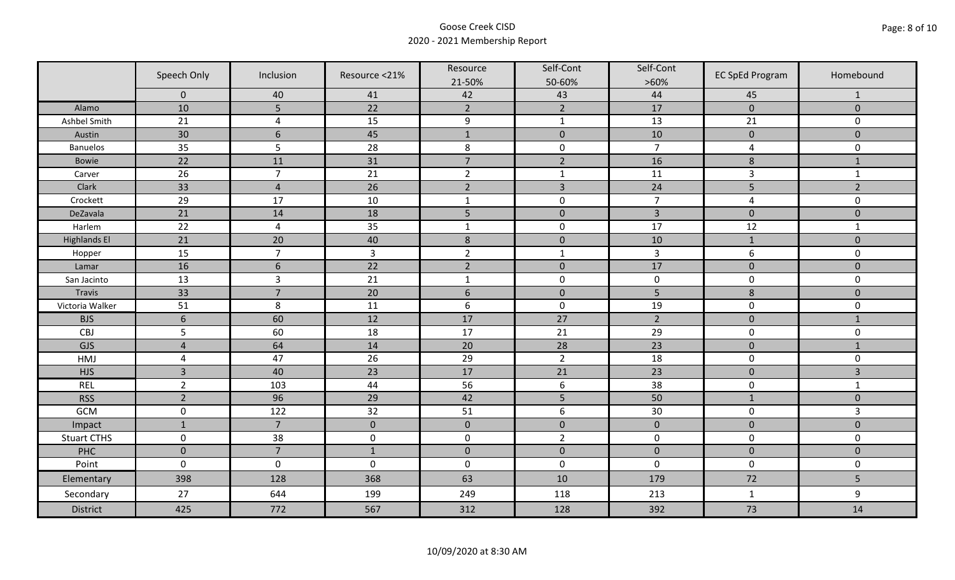|                     | Speech Only         | Inclusion        | Resource <21%  | Resource         | Self-Cont        | Self-Cont      | <b>EC SpEd Program</b> | Homebound           |
|---------------------|---------------------|------------------|----------------|------------------|------------------|----------------|------------------------|---------------------|
|                     |                     |                  |                | 21-50%           | 50-60%           | $>60\%$        |                        |                     |
|                     | $\mathbf 0$         | 40               | 41             | 42               | 43               | 44             | 45                     | 1                   |
| Alamo               | 10                  | 5                | 22             | $\overline{2}$   | $\overline{2}$   | 17             | $\pmb{0}$              | $\mathbf 0$         |
| Ashbel Smith        | 21                  | $\overline{4}$   | 15             | 9                | $\mathbf{1}$     | 13             | 21                     | 0                   |
| Austin              | 30                  | $\boldsymbol{6}$ | 45             | $\mathbf 1$      | $\pmb{0}$        | 10             | $\pmb{0}$              | $\mathsf{O}\xspace$ |
| <b>Banuelos</b>     | 35                  | 5                | 28             | $\,8\,$          | $\pmb{0}$        | $\overline{7}$ | $\overline{a}$         | $\mathbf 0$         |
| Bowie               | 22                  | 11               | 31             | $\overline{7}$   | $\overline{2}$   | 16             | $\bf 8$                | $\mathbf{1}$        |
| Carver              | 26                  | $\overline{7}$   | 21             | $\overline{2}$   | $\mathbf{1}$     | 11             | $\overline{3}$         | $\mathbf{1}$        |
| Clark               | 33                  | $\overline{4}$   | 26             | $\overline{2}$   | $\overline{3}$   | 24             | 5                      | $\overline{2}$      |
| Crockett            | 29                  | 17               | 10             | $\mathbf 1$      | $\pmb{0}$        | $\overline{7}$ | $\overline{a}$         | 0                   |
| DeZavala            | $\overline{21}$     | 14               | 18             | 5                | $\pmb{0}$        | $\overline{3}$ | $\pmb{0}$              | $\mathbf 0$         |
| Harlem              | 22                  | $\overline{4}$   | 35             | $\mathbf 1$      | $\pmb{0}$        | 17             | 12                     | $\mathbf{1}$        |
| <b>Highlands El</b> | 21                  | 20               | 40             | $\,8\,$          | $\pmb{0}$        | 10             | $\mathbf{1}$           | $\mathbf 0$         |
| Hopper              | 15                  | $\overline{7}$   | $\overline{3}$ | $\overline{2}$   | $\mathbf{1}$     | $\overline{3}$ | 6                      | 0                   |
| Lamar               | 16                  | $6\phantom{1}$   | 22             | $\overline{2}$   | $\mathbf 0$      | 17             | $\mathbf 0$            | $\mathbf 0$         |
| San Jacinto         | 13                  | $\overline{3}$   | 21             | $\mathbf{1}$     | $\pmb{0}$        | $\pmb{0}$      | $\pmb{0}$              | $\mathsf{O}\xspace$ |
| <b>Travis</b>       | 33                  | $\overline{7}$   | 20             | $\boldsymbol{6}$ | $\pmb{0}$        | 5              | $\bf 8$                | $\mathbf 0$         |
| Victoria Walker     | 51                  | 8                | 11             | $\boldsymbol{6}$ | $\pmb{0}$        | 19             | $\pmb{0}$              | 0                   |
| <b>BJS</b>          | $\boldsymbol{6}$    | 60               | 12             | 17               | 27               | $\overline{2}$ | $\pmb{0}$              | $\mathbf{1}$        |
| CBJ                 | 5                   | 60               | 18             | 17               | 21               | 29             | $\pmb{0}$              | 0                   |
| GJS                 | $\overline{4}$      | 64               | 14             | 20               | 28               | 23             | $\pmb{0}$              | $\mathbf{1}$        |
| <b>HMJ</b>          | $\overline{a}$      | 47               | 26             | 29               | $\overline{2}$   | 18             | $\pmb{0}$              | 0                   |
| <b>HJS</b>          | $\overline{3}$      | 40               | 23             | 17               | 21               | 23             | $\pmb{0}$              | $\overline{3}$      |
| REL                 | $\overline{2}$      | 103              | 44             | 56               | $\boldsymbol{6}$ | 38             | $\pmb{0}$              | $\mathbf{1}$        |
| <b>RSS</b>          | $\overline{2}$      | 96               | 29             | 42               | 5                | 50             | $\mathbf{1}$           | $\mathbf 0$         |
| GCM                 | $\mathsf 0$         | 122              | 32             | 51               | $\boldsymbol{6}$ | 30             | $\pmb{0}$              | 3                   |
| Impact              | $\mathbf{1}$        | $\overline{7}$   | $\mathbf{0}$   | $\mathbf 0$      | $\pmb{0}$        | $\mathbf 0$    | $\mathbf 0$            | $\overline{0}$      |
| <b>Stuart CTHS</b>  | $\pmb{0}$           | 38               | $\pmb{0}$      | $\pmb{0}$        | $\overline{2}$   | $\pmb{0}$      | $\pmb{0}$              | 0                   |
| PHC                 | $\mathbf 0$         | $\overline{7}$   | $1\,$          | $\pmb{0}$        | $\pmb{0}$        | $\pmb{0}$      | $\pmb{0}$              | $\overline{0}$      |
| Point               | $\mathsf{O}\xspace$ | $\mathbf 0$      | $\pmb{0}$      | $\pmb{0}$        | $\pmb{0}$        | $\mathbf 0$    | $\pmb{0}$              | 0                   |
| Elementary          | 398                 | 128              | 368            | 63               | 10               | 179            | 72                     | 5                   |
| Secondary           | 27                  | 644              | 199            | 249              | 118              | 213            | $\mathbf{1}$           | 9                   |
| District            | 425                 | 772              | 567            | 312              | 128              | 392            | 73                     | 14                  |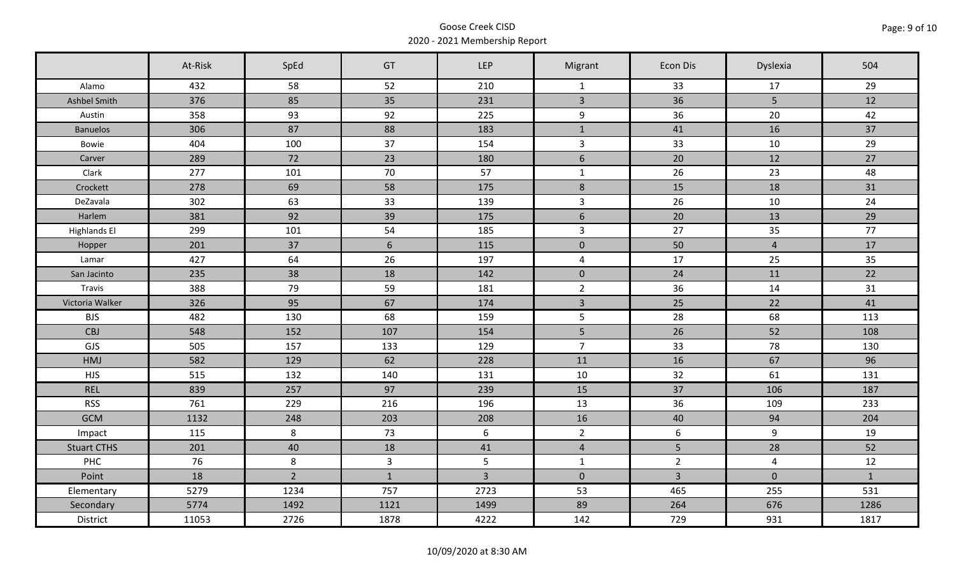|                     | At-Risk | SpEd           | GT             | <b>LEP</b>     | Migrant        | Econ Dis       | Dyslexia       | 504          |
|---------------------|---------|----------------|----------------|----------------|----------------|----------------|----------------|--------------|
| Alamo               | 432     | 58             | 52             | 210            | $\mathbf{1}$   | 33             | 17             | 29           |
| Ashbel Smith        | 376     | 85             | 35             | 231            | $\overline{3}$ | 36             | 5 <sup>5</sup> | 12           |
| Austin              | 358     | 93             | 92             | 225            | 9              | 36             | 20             | 42           |
| <b>Banuelos</b>     | 306     | 87             | 88             | 183            | $\mathbf{1}$   | 41             | 16             | 37           |
| Bowie               | 404     | 100            | 37             | 154            | $\overline{3}$ | 33             | 10             | 29           |
| Carver              | 289     | 72             | 23             | 180            | $6\,$          | 20             | 12             | 27           |
| Clark               | 277     | 101            | 70             | 57             | $\mathbf{1}$   | 26             | 23             | 48           |
| Crockett            | 278     | 69             | 58             | 175            | $\,8\,$        | 15             | 18             | 31           |
| DeZavala            | 302     | 63             | 33             | 139            | $\overline{3}$ | 26             | 10             | 24           |
| Harlem              | 381     | 92             | 39             | 175            | $6\,$          | 20             | 13             | 29           |
| <b>Highlands El</b> | 299     | 101            | 54             | 185            | $\mathbf{3}$   | 27             | 35             | 77           |
| Hopper              | 201     | 37             | 6              | 115            | $\mathbf 0$    | 50             | $\overline{4}$ | 17           |
| Lamar               | 427     | 64             | 26             | 197            | $\overline{4}$ | 17             | 25             | 35           |
| San Jacinto         | 235     | 38             | 18             | 142            | $\overline{0}$ | 24             | 11             | 22           |
| Travis              | 388     | 79             | 59             | 181            | $\overline{2}$ | 36             | 14             | 31           |
| Victoria Walker     | 326     | 95             | 67             | 174            | $\mathbf{3}$   | 25             | 22             | 41           |
| <b>BJS</b>          | 482     | 130            | 68             | 159            | 5              | 28             | 68             | 113          |
| CBJ                 | 548     | 152            | 107            | 154            | 5              | 26             | 52             | 108          |
| GJS                 | 505     | 157            | 133            | 129            | $\overline{7}$ | 33             | 78             | 130          |
| HMJ                 | 582     | 129            | 62             | 228            | 11             | 16             | 67             | 96           |
| <b>HJS</b>          | 515     | 132            | 140            | 131            | 10             | 32             | 61             | 131          |
| <b>REL</b>          | 839     | 257            | 97             | 239            | 15             | 37             | 106            | 187          |
| <b>RSS</b>          | 761     | 229            | 216            | 196            | 13             | 36             | 109            | 233          |
| <b>GCM</b>          | 1132    | 248            | 203            | 208            | 16             | 40             | 94             | 204          |
| Impact              | 115     | 8              | 73             | $6\phantom{1}$ | $2^{\circ}$    | $6\phantom{1}$ | $\overline{9}$ | 19           |
| <b>Stuart CTHS</b>  | 201     | 40             | 18             | 41             | $\overline{4}$ | 5 <sup>1</sup> | 28             | 52           |
| <b>PHC</b>          | 76      | 8              | $\overline{3}$ | $5\phantom{.}$ | $\mathbf{1}$   | $\overline{2}$ | $\overline{4}$ | 12           |
| Point               | 18      | $\overline{2}$ | $\mathbf{1}$   | $\overline{3}$ | $\overline{0}$ | $\overline{3}$ | $\mathbf 0$    | $\mathbf{1}$ |
| Elementary          | 5279    | 1234           | 757            | 2723           | 53             | 465            | 255            | 531          |
| Secondary           | 5774    | 1492           | 1121           | 1499           | 89             | 264            | 676            | 1286         |
| District            | 11053   | 2726           | 1878           | 4222           | 142            | 729            | 931            | 1817         |